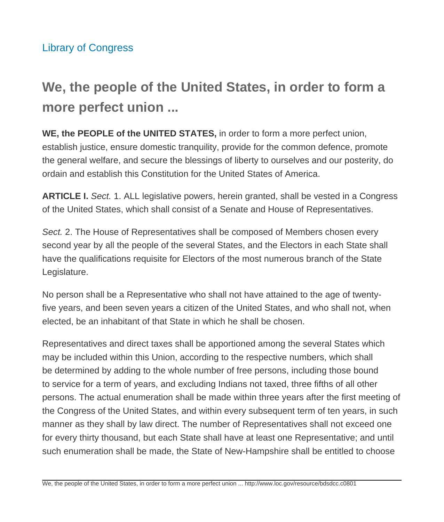# **We, the people of the United States, in order to form a more perfect union ...**

**WE, the PEOPLE of the UNITED STATES,** in order to form a more perfect union, establish justice, ensure domestic tranquility, provide for the common defence, promote the general welfare, and secure the blessings of liberty to ourselves and our posterity, do ordain and establish this Constitution for the United States of America.

**ARTICLE I.** Sect. 1. ALL legislative powers, herein granted, shall be vested in a Congress of the United States, which shall consist of a Senate and House of Representatives.

Sect. 2. The House of Representatives shall be composed of Members chosen every second year by all the people of the several States, and the Electors in each State shall have the qualifications requisite for Electors of the most numerous branch of the State Legislature.

No person shall be a Representative who shall not have attained to the age of twentyfive years, and been seven years a citizen of the United States, and who shall not, when elected, be an inhabitant of that State in which he shall be chosen.

Representatives and direct taxes shall be apportioned among the several States which may be included within this Union, according to the respective numbers, which shall be determined by adding to the whole number of free persons, including those bound to service for a term of years, and excluding Indians not taxed, three fifths of all other persons. The actual enumeration shall be made within three years after the first meeting of the Congress of the United States, and within every subsequent term of ten years, in such manner as they shall by law direct. The number of Representatives shall not exceed one for every thirty thousand, but each State shall have at least one Representative; and until such enumeration shall be made, the State of New-Hampshire shall be entitled to choose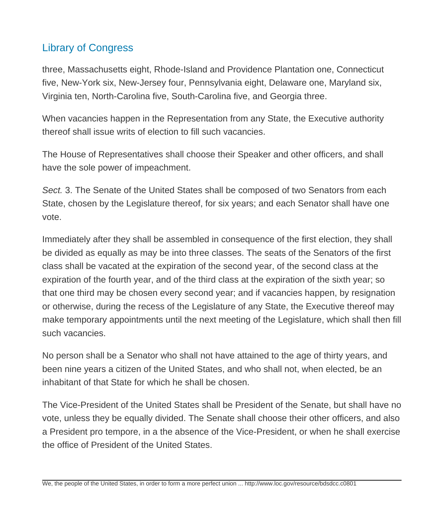three, Massachusetts eight, Rhode-Island and Providence Plantation one, Connecticut five, New-York six, New-Jersey four, Pennsylvania eight, Delaware one, Maryland six, Virginia ten, North-Carolina five, South-Carolina five, and Georgia three.

When vacancies happen in the Representation from any State, the Executive authority thereof shall issue writs of election to fill such vacancies.

The House of Representatives shall choose their Speaker and other officers, and shall have the sole power of impeachment.

Sect. 3. The Senate of the United States shall be composed of two Senators from each State, chosen by the Legislature thereof, for six years; and each Senator shall have one vote.

Immediately after they shall be assembled in consequence of the first election, they shall be divided as equally as may be into three classes. The seats of the Senators of the first class shall be vacated at the expiration of the second year, of the second class at the expiration of the fourth year, and of the third class at the expiration of the sixth year; so that one third may be chosen every second year; and if vacancies happen, by resignation or otherwise, during the recess of the Legislature of any State, the Executive thereof may make temporary appointments until the next meeting of the Legislature, which shall then fill such vacancies.

No person shall be a Senator who shall not have attained to the age of thirty years, and been nine years a citizen of the United States, and who shall not, when elected, be an inhabitant of that State for which he shall be chosen.

The Vice-President of the United States shall be President of the Senate, but shall have no vote, unless they be equally divided. The Senate shall choose their other officers, and also a President pro tempore, in a the absence of the Vice-President, or when he shall exercise the office of President of the United States.

We, the people of the United States, in order to form a more perfect union ... http://www.loc.gov/resource/bdsdcc.c0801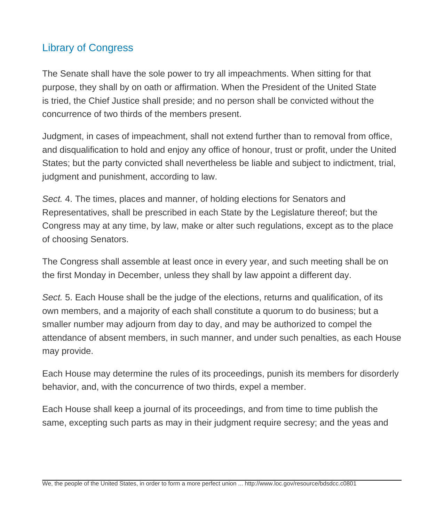The Senate shall have the sole power to try all impeachments. When sitting for that purpose, they shall by on oath or affirmation. When the President of the United State is tried, the Chief Justice shall preside; and no person shall be convicted without the concurrence of two thirds of the members present.

Judgment, in cases of impeachment, shall not extend further than to removal from office, and disqualification to hold and enjoy any office of honour, trust or profit, under the United States; but the party convicted shall nevertheless be liable and subject to indictment, trial, judgment and punishment, according to law.

Sect. 4. The times, places and manner, of holding elections for Senators and Representatives, shall be prescribed in each State by the Legislature thereof; but the Congress may at any time, by law, make or alter such regulations, except as to the place of choosing Senators.

The Congress shall assemble at least once in every year, and such meeting shall be on the first Monday in December, unless they shall by law appoint a different day.

Sect. 5. Each House shall be the judge of the elections, returns and qualification, of its own members, and a majority of each shall constitute a quorum to do business; but a smaller number may adjourn from day to day, and may be authorized to compel the attendance of absent members, in such manner, and under such penalties, as each House may provide.

Each House may determine the rules of its proceedings, punish its members for disorderly behavior, and, with the concurrence of two thirds, expel a member.

Each House shall keep a journal of its proceedings, and from time to time publish the same, excepting such parts as may in their judgment require secresy; and the yeas and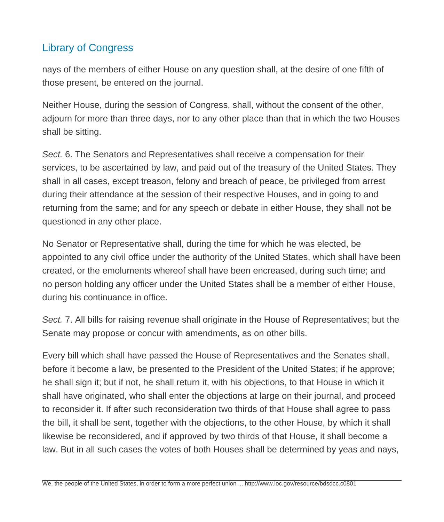nays of the members of either House on any question shall, at the desire of one fifth of those present, be entered on the journal.

Neither House, during the session of Congress, shall, without the consent of the other, adjourn for more than three days, nor to any other place than that in which the two Houses shall be sitting.

Sect. 6. The Senators and Representatives shall receive a compensation for their services, to be ascertained by law, and paid out of the treasury of the United States. They shall in all cases, except treason, felony and breach of peace, be privileged from arrest during their attendance at the session of their respective Houses, and in going to and returning from the same; and for any speech or debate in either House, they shall not be questioned in any other place.

No Senator or Representative shall, during the time for which he was elected, be appointed to any civil office under the authority of the United States, which shall have been created, or the emoluments whereof shall have been encreased, during such time; and no person holding any officer under the United States shall be a member of either House, during his continuance in office.

Sect. 7. All bills for raising revenue shall originate in the House of Representatives; but the Senate may propose or concur with amendments, as on other bills.

Every bill which shall have passed the House of Representatives and the Senates shall, before it become a law, be presented to the President of the United States; if he approve; he shall sign it; but if not, he shall return it, with his objections, to that House in which it shall have originated, who shall enter the objections at large on their journal, and proceed to reconsider it. If after such reconsideration two thirds of that House shall agree to pass the bill, it shall be sent, together with the objections, to the other House, by which it shall likewise be reconsidered, and if approved by two thirds of that House, it shall become a law. But in all such cases the votes of both Houses shall be determined by yeas and nays,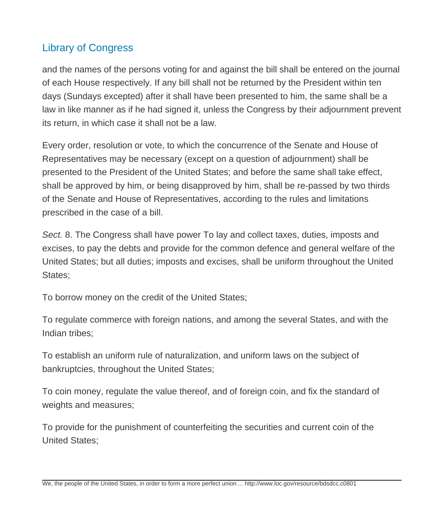and the names of the persons voting for and against the bill shall be entered on the journal of each House respectively. If any bill shall not be returned by the President within ten days (Sundays excepted) after it shall have been presented to him, the same shall be a law in like manner as if he had signed it, unless the Congress by their adjournment prevent its return, in which case it shall not be a law.

Every order, resolution or vote, to which the concurrence of the Senate and House of Representatives may be necessary (except on a question of adjournment) shall be presented to the President of the United States; and before the same shall take effect, shall be approved by him, or being disapproved by him, shall be re-passed by two thirds of the Senate and House of Representatives, according to the rules and limitations prescribed in the case of a bill.

Sect. 8. The Congress shall have power To lay and collect taxes, duties, imposts and excises, to pay the debts and provide for the common defence and general welfare of the United States; but all duties; imposts and excises, shall be uniform throughout the United States;

To borrow money on the credit of the United States;

To regulate commerce with foreign nations, and among the several States, and with the Indian tribes;

To establish an uniform rule of naturalization, and uniform laws on the subject of bankruptcies, throughout the United States;

To coin money, regulate the value thereof, and of foreign coin, and fix the standard of weights and measures;

To provide for the punishment of counterfeiting the securities and current coin of the United States;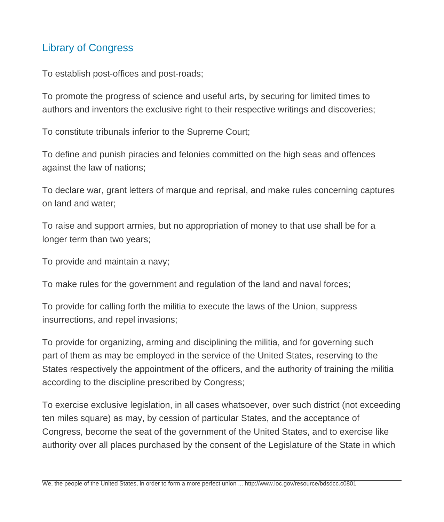To establish post-offices and post-roads;

To promote the progress of science and useful arts, by securing for limited times to authors and inventors the exclusive right to their respective writings and discoveries;

To constitute tribunals inferior to the Supreme Court;

To define and punish piracies and felonies committed on the high seas and offences against the law of nations;

To declare war, grant letters of marque and reprisal, and make rules concerning captures on land and water;

To raise and support armies, but no appropriation of money to that use shall be for a longer term than two years;

To provide and maintain a navy;

To make rules for the government and regulation of the land and naval forces;

To provide for calling forth the militia to execute the laws of the Union, suppress insurrections, and repel invasions;

To provide for organizing, arming and disciplining the militia, and for governing such part of them as may be employed in the service of the United States, reserving to the States respectively the appointment of the officers, and the authority of training the militia according to the discipline prescribed by Congress;

To exercise exclusive legislation, in all cases whatsoever, over such district (not exceeding ten miles square) as may, by cession of particular States, and the acceptance of Congress, become the seat of the government of the United States, and to exercise like authority over all places purchased by the consent of the Legislature of the State in which

We, the people of the United States, in order to form a more perfect union ... http://www.loc.gov/resource/bdsdcc.c0801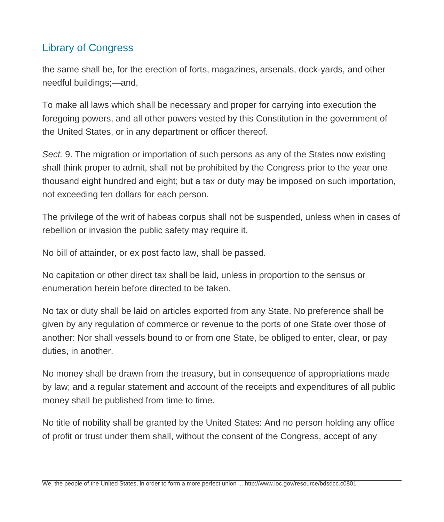the same shall be, for the erection of forts, magazines, arsenals, dock-yards, and other needful buildings;—and,

To make all laws which shall be necessary and proper for carrying into execution the foregoing powers, and all other powers vested by this Constitution in the government of the United States, or in any department or officer thereof.

Sect. 9. The migration or importation of such persons as any of the States now existing shall think proper to admit, shall not be prohibited by the Congress prior to the year one thousand eight hundred and eight; but a tax or duty may be imposed on such importation, not exceeding ten dollars for each person.

The privilege of the writ of habeas corpus shall not be suspended, unless when in cases of rebellion or invasion the public safety may require it.

No bill of attainder, or ex post facto law, shall be passed.

No capitation or other direct tax shall be laid, unless in proportion to the sensus or enumeration herein before directed to be taken.

No tax or duty shall be laid on articles exported from any State. No preference shall be given by any regulation of commerce or revenue to the ports of one State over those of another: Nor shall vessels bound to or from one State, be obliged to enter, clear, or pay duties, in another.

No money shall be drawn from the treasury, but in consequence of appropriations made by law; and a regular statement and account of the receipts and expenditures of all public money shall be published from time to time.

No title of nobility shall be granted by the United States: And no person holding any office of profit or trust under them shall, without the consent of the Congress, accept of any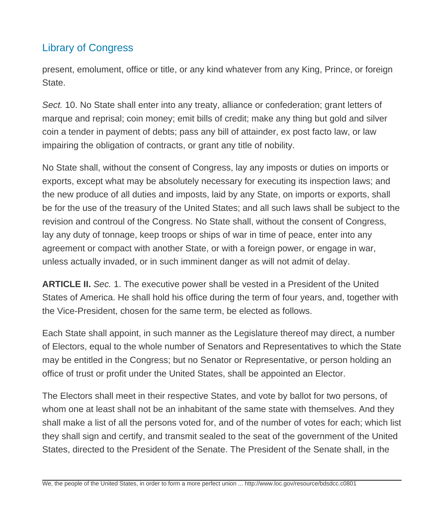present, emolument, office or title, or any kind whatever from any King, Prince, or foreign State.

Sect. 10. No State shall enter into any treaty, alliance or confederation; grant letters of marque and reprisal; coin money; emit bills of credit; make any thing but gold and silver coin a tender in payment of debts; pass any bill of attainder, ex post facto law, or law impairing the obligation of contracts, or grant any title of nobility.

No State shall, without the consent of Congress, lay any imposts or duties on imports or exports, except what may be absolutely necessary for executing its inspection laws; and the new produce of all duties and imposts, laid by any State, on imports or exports, shall be for the use of the treasury of the United States; and all such laws shall be subject to the revision and controul of the Congress. No State shall, without the consent of Congress, lay any duty of tonnage, keep troops or ships of war in time of peace, enter into any agreement or compact with another State, or with a foreign power, or engage in war, unless actually invaded, or in such imminent danger as will not admit of delay.

**ARTICLE II.** Sec. 1. The executive power shall be vested in a President of the United States of America. He shall hold his office during the term of four years, and, together with the Vice-President, chosen for the same term, be elected as follows.

Each State shall appoint, in such manner as the Legislature thereof may direct, a number of Electors, equal to the whole number of Senators and Representatives to which the State may be entitled in the Congress; but no Senator or Representative, or person holding an office of trust or profit under the United States, shall be appointed an Elector.

The Electors shall meet in their respective States, and vote by ballot for two persons, of whom one at least shall not be an inhabitant of the same state with themselves. And they shall make a list of all the persons voted for, and of the number of votes for each; which list they shall sign and certify, and transmit sealed to the seat of the government of the United States, directed to the President of the Senate. The President of the Senate shall, in the

We, the people of the United States, in order to form a more perfect union ... http://www.loc.gov/resource/bdsdcc.c0801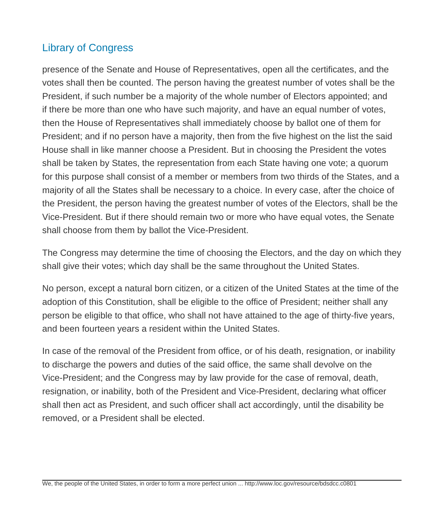presence of the Senate and House of Representatives, open all the certificates, and the votes shall then be counted. The person having the greatest number of votes shall be the President, if such number be a majority of the whole number of Electors appointed; and if there be more than one who have such majority, and have an equal number of votes, then the House of Representatives shall immediately choose by ballot one of them for President; and if no person have a majority, then from the five highest on the list the said House shall in like manner choose a President. But in choosing the President the votes shall be taken by States, the representation from each State having one vote; a quorum for this purpose shall consist of a member or members from two thirds of the States, and a majority of all the States shall be necessary to a choice. In every case, after the choice of the President, the person having the greatest number of votes of the Electors, shall be the Vice-President. But if there should remain two or more who have equal votes, the Senate shall choose from them by ballot the Vice-President.

The Congress may determine the time of choosing the Electors, and the day on which they shall give their votes; which day shall be the same throughout the United States.

No person, except a natural born citizen, or a citizen of the United States at the time of the adoption of this Constitution, shall be eligible to the office of President; neither shall any person be eligible to that office, who shall not have attained to the age of thirty-five years, and been fourteen years a resident within the United States.

In case of the removal of the President from office, or of his death, resignation, or inability to discharge the powers and duties of the said office, the same shall devolve on the Vice-President; and the Congress may by law provide for the case of removal, death, resignation, or inability, both of the President and Vice-President, declaring what officer shall then act as President, and such officer shall act accordingly, until the disability be removed, or a President shall be elected.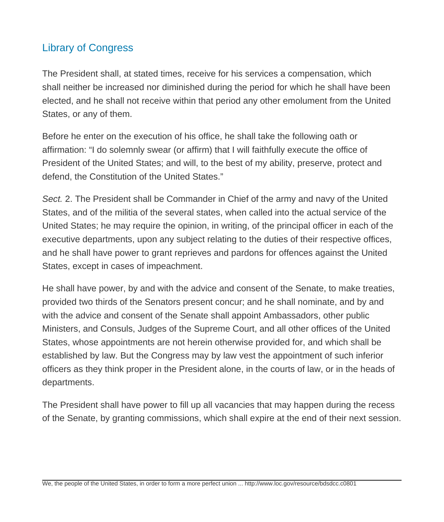The President shall, at stated times, receive for his services a compensation, which shall neither be increased nor diminished during the period for which he shall have been elected, and he shall not receive within that period any other emolument from the United States, or any of them.

Before he enter on the execution of his office, he shall take the following oath or affirmation: "I do solemnly swear (or affirm) that I will faithfully execute the office of President of the United States; and will, to the best of my ability, preserve, protect and defend, the Constitution of the United States."

Sect. 2. The President shall be Commander in Chief of the army and navy of the United States, and of the militia of the several states, when called into the actual service of the United States; he may require the opinion, in writing, of the principal officer in each of the executive departments, upon any subject relating to the duties of their respective offices, and he shall have power to grant reprieves and pardons for offences against the United States, except in cases of impeachment.

He shall have power, by and with the advice and consent of the Senate, to make treaties, provided two thirds of the Senators present concur; and he shall nominate, and by and with the advice and consent of the Senate shall appoint Ambassadors, other public Ministers, and Consuls, Judges of the Supreme Court, and all other offices of the United States, whose appointments are not herein otherwise provided for, and which shall be established by law. But the Congress may by law vest the appointment of such inferior officers as they think proper in the President alone, in the courts of law, or in the heads of departments.

The President shall have power to fill up all vacancies that may happen during the recess of the Senate, by granting commissions, which shall expire at the end of their next session.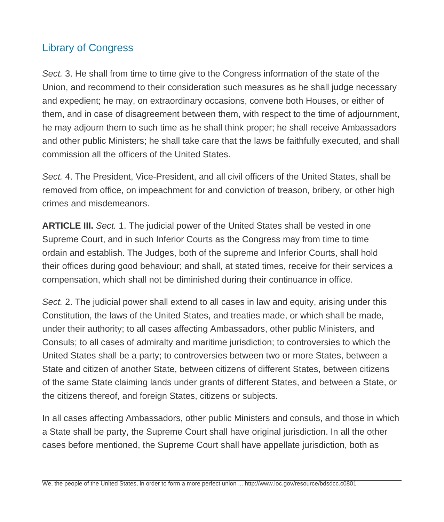Sect. 3. He shall from time to time give to the Congress information of the state of the Union, and recommend to their consideration such measures as he shall judge necessary and expedient; he may, on extraordinary occasions, convene both Houses, or either of them, and in case of disagreement between them, with respect to the time of adjournment, he may adjourn them to such time as he shall think proper; he shall receive Ambassadors and other public Ministers; he shall take care that the laws be faithfully executed, and shall commission all the officers of the United States.

Sect. 4. The President, Vice-President, and all civil officers of the United States, shall be removed from office, on impeachment for and conviction of treason, bribery, or other high crimes and misdemeanors.

**ARTICLE III.** Sect. 1. The judicial power of the United States shall be vested in one Supreme Court, and in such Inferior Courts as the Congress may from time to time ordain and establish. The Judges, both of the supreme and Inferior Courts, shall hold their offices during good behaviour; and shall, at stated times, receive for their services a compensation, which shall not be diminished during their continuance in office.

Sect. 2. The judicial power shall extend to all cases in law and equity, arising under this Constitution, the laws of the United States, and treaties made, or which shall be made, under their authority; to all cases affecting Ambassadors, other public Ministers, and Consuls; to all cases of admiralty and maritime jurisdiction; to controversies to which the United States shall be a party; to controversies between two or more States, between a State and citizen of another State, between citizens of different States, between citizens of the same State claiming lands under grants of different States, and between a State, or the citizens thereof, and foreign States, citizens or subjects.

In all cases affecting Ambassadors, other public Ministers and consuls, and those in which a State shall be party, the Supreme Court shall have original jurisdiction. In all the other cases before mentioned, the Supreme Court shall have appellate jurisdiction, both as

We, the people of the United States, in order to form a more perfect union ... http://www.loc.gov/resource/bdsdcc.c0801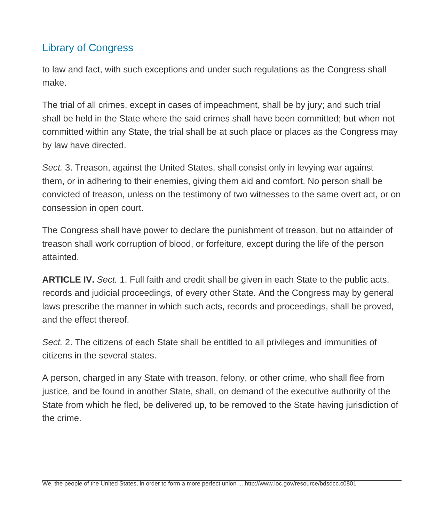to law and fact, with such exceptions and under such regulations as the Congress shall make.

The trial of all crimes, except in cases of impeachment, shall be by jury; and such trial shall be held in the State where the said crimes shall have been committed; but when not committed within any State, the trial shall be at such place or places as the Congress may by law have directed.

Sect. 3. Treason, against the United States, shall consist only in levying war against them, or in adhering to their enemies, giving them aid and comfort. No person shall be convicted of treason, unless on the testimony of two witnesses to the same overt act, or on consession in open court.

The Congress shall have power to declare the punishment of treason, but no attainder of treason shall work corruption of blood, or forfeiture, except during the life of the person attainted.

**ARTICLE IV.** Sect. 1. Full faith and credit shall be given in each State to the public acts, records and judicial proceedings, of every other State. And the Congress may by general laws prescribe the manner in which such acts, records and proceedings, shall be proved, and the effect thereof.

Sect. 2. The citizens of each State shall be entitled to all privileges and immunities of citizens in the several states.

A person, charged in any State with treason, felony, or other crime, who shall flee from justice, and be found in another State, shall, on demand of the executive authority of the State from which he fled, be delivered up, to be removed to the State having jurisdiction of the crime.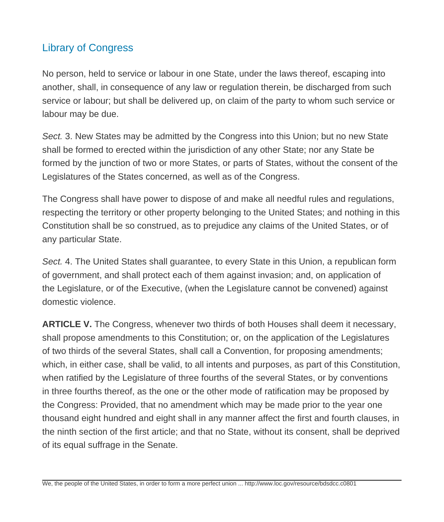No person, held to service or labour in one State, under the laws thereof, escaping into another, shall, in consequence of any law or regulation therein, be discharged from such service or labour; but shall be delivered up, on claim of the party to whom such service or labour may be due.

Sect. 3. New States may be admitted by the Congress into this Union; but no new State shall be formed to erected within the jurisdiction of any other State; nor any State be formed by the junction of two or more States, or parts of States, without the consent of the Legislatures of the States concerned, as well as of the Congress.

The Congress shall have power to dispose of and make all needful rules and regulations, respecting the territory or other property belonging to the United States; and nothing in this Constitution shall be so construed, as to prejudice any claims of the United States, or of any particular State.

Sect. 4. The United States shall guarantee, to every State in this Union, a republican form of government, and shall protect each of them against invasion; and, on application of the Legislature, or of the Executive, (when the Legislature cannot be convened) against domestic violence.

**ARTICLE V.** The Congress, whenever two thirds of both Houses shall deem it necessary, shall propose amendments to this Constitution; or, on the application of the Legislatures of two thirds of the several States, shall call a Convention, for proposing amendments; which, in either case, shall be valid, to all intents and purposes, as part of this Constitution, when ratified by the Legislature of three fourths of the several States, or by conventions in three fourths thereof, as the one or the other mode of ratification may be proposed by the Congress: Provided, that no amendment which may be made prior to the year one thousand eight hundred and eight shall in any manner affect the first and fourth clauses, in the ninth section of the first article; and that no State, without its consent, shall be deprived of its equal suffrage in the Senate.

We, the people of the United States, in order to form a more perfect union ... http://www.loc.gov/resource/bdsdcc.c0801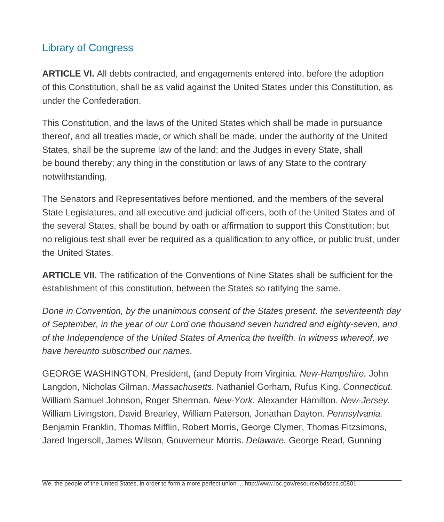**ARTICLE VI.** All debts contracted, and engagements entered into, before the adoption of this Constitution, shall be as valid against the United States under this Constitution, as under the Confederation.

This Constitution, and the laws of the United States which shall be made in pursuance thereof, and all treaties made, or which shall be made, under the authority of the United States, shall be the supreme law of the land; and the Judges in every State, shall be bound thereby; any thing in the constitution or laws of any State to the contrary notwithstanding.

The Senators and Representatives before mentioned, and the members of the several State Legislatures, and all executive and judicial officers, both of the United States and of the several States, shall be bound by oath or affirmation to support this Constitution; but no religious test shall ever be required as a qualification to any office, or public trust, under the United States.

**ARTICLE VII.** The ratification of the Conventions of Nine States shall be sufficient for the establishment of this constitution, between the States so ratifying the same.

Done in Convention, by the unanimous consent of the States present, the seventeenth day of September, in the year of our Lord one thousand seven hundred and eighty-seven, and of the Independence of the United States of America the twelfth. In witness whereof, we have hereunto subscribed our names.

GEORGE WASHINGTON, President, (and Deputy from Virginia. New-Hampshire. John Langdon, Nicholas Gilman. Massachusetts. Nathaniel Gorham, Rufus King. Connecticut. William Samuel Johnson, Roger Sherman. New-York. Alexander Hamilton. New-Jersey. William Livingston, David Brearley, William Paterson, Jonathan Dayton. Pennsylvania. Benjamin Franklin, Thomas Mifflin, Robert Morris, George Clymer, Thomas Fitzsimons, Jared Ingersoll, James Wilson, Gouverneur Morris. Delaware. George Read, Gunning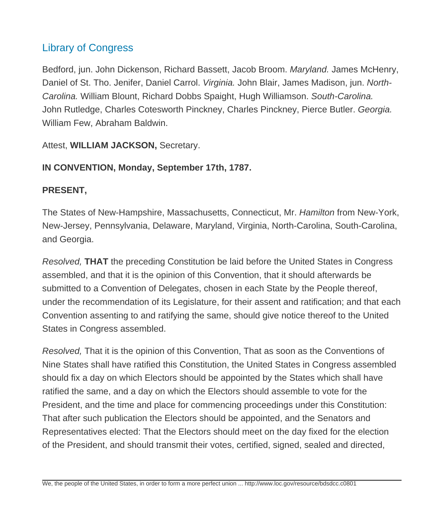Bedford, jun. John Dickenson, Richard Bassett, Jacob Broom. Maryland. James McHenry, Daniel of St. Tho. Jenifer, Daniel Carrol. Virginia. John Blair, James Madison, jun. North-Carolina. William Blount, Richard Dobbs Spaight, Hugh Williamson. South-Carolina. John Rutledge, Charles Cotesworth Pinckney, Charles Pinckney, Pierce Butler. Georgia. William Few, Abraham Baldwin.

Attest, **WILLIAM JACKSON,** Secretary.

#### **IN CONVENTION, Monday, September 17th, 1787.**

#### **PRESENT,**

The States of New-Hampshire, Massachusetts, Connecticut, Mr. Hamilton from New-York, New-Jersey, Pennsylvania, Delaware, Maryland, Virginia, North-Carolina, South-Carolina, and Georgia.

Resolved, **THAT** the preceding Constitution be laid before the United States in Congress assembled, and that it is the opinion of this Convention, that it should afterwards be submitted to a Convention of Delegates, chosen in each State by the People thereof, under the recommendation of its Legislature, for their assent and ratification; and that each Convention assenting to and ratifying the same, should give notice thereof to the United States in Congress assembled.

Resolved, That it is the opinion of this Convention, That as soon as the Conventions of Nine States shall have ratified this Constitution, the United States in Congress assembled should fix a day on which Electors should be appointed by the States which shall have ratified the same, and a day on which the Electors should assemble to vote for the President, and the time and place for commencing proceedings under this Constitution: That after such publication the Electors should be appointed, and the Senators and Representatives elected: That the Electors should meet on the day fixed for the election of the President, and should transmit their votes, certified, signed, sealed and directed,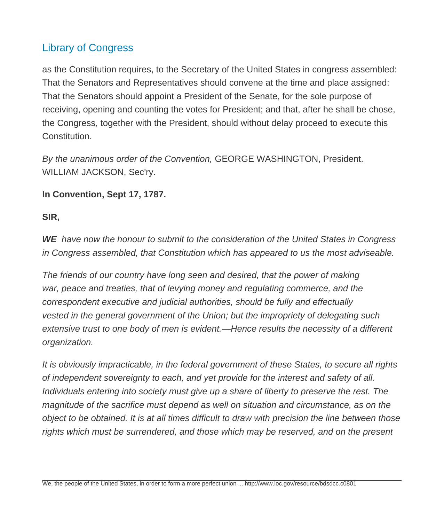as the Constitution requires, to the Secretary of the United States in congress assembled: That the Senators and Representatives should convene at the time and place assigned: That the Senators should appoint a President of the Senate, for the sole purpose of receiving, opening and counting the votes for President; and that, after he shall be chose, the Congress, together with the President, should without delay proceed to execute this Constitution.

By the unanimous order of the Convention, GEORGE WASHINGTON, President. WILLIAM JACKSON, Sec'ry.

#### **In Convention, Sept 17, 1787.**

#### **SIR,**

**WE** have now the honour to submit to the consideration of the United States in Congress in Congress assembled, that Constitution which has appeared to us the most adviseable.

The friends of our country have long seen and desired, that the power of making war, peace and treaties, that of levying money and regulating commerce, and the correspondent executive and judicial authorities, should be fully and effectually vested in the general government of the Union; but the impropriety of delegating such extensive trust to one body of men is evident.—Hence results the necessity of a different organization.

It is obviously impracticable, in the federal government of these States, to secure all rights of independent sovereignty to each, and yet provide for the interest and safety of all. Individuals entering into society must give up a share of liberty to preserve the rest. The magnitude of the sacrifice must depend as well on situation and circumstance, as on the object to be obtained. It is at all times difficult to draw with precision the line between those rights which must be surrendered, and those which may be reserved, and on the present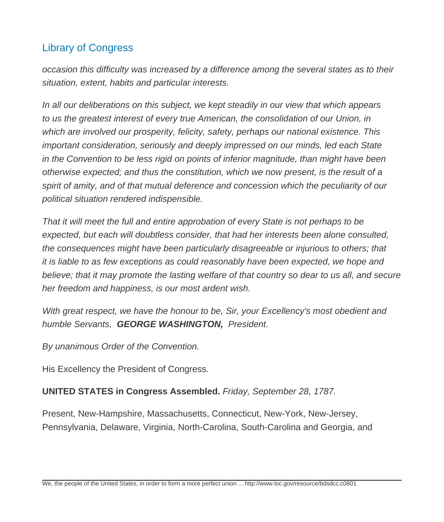occasion this difficulty was increased by a difference among the several states as to their situation, extent, habits and particular interests.

In all our deliberations on this subject, we kept steadily in our view that which appears to us the greatest interest of every true American, the consolidation of our Union, in which are involved our prosperity, felicity, safety, perhaps our national existence. This important consideration, seriously and deeply impressed on our minds, led each State in the Convention to be less rigid on points of inferior magnitude, than might have been otherwise expected; and thus the constitution, which we now present, is the result of a spirit of amity, and of that mutual deference and concession which the peculiarity of our political situation rendered indispensible.

That it will meet the full and entire approbation of every State is not perhaps to be expected, but each will doubtless consider, that had her interests been alone consulted, the consequences might have been particularly disagreeable or injurious to others; that it is liable to as few exceptions as could reasonably have been expected, we hope and believe; that it may promote the lasting welfare of that country so dear to us all, and secure her freedom and happiness, is our most ardent wish.

With great respect, we have the honour to be, Sir, your Excellency's most obedient and humble Servants, **GEORGE WASHINGTON,** President.

By unanimous Order of the Convention.

His Excellency the President of Congress.

#### **UNITED STATES in Congress Assembled.** Friday, September 28, 1787.

Present, New-Hampshire, Massachusetts, Connecticut, New-York, New-Jersey, Pennsylvania, Delaware, Virginia, North-Carolina, South-Carolina and Georgia, and